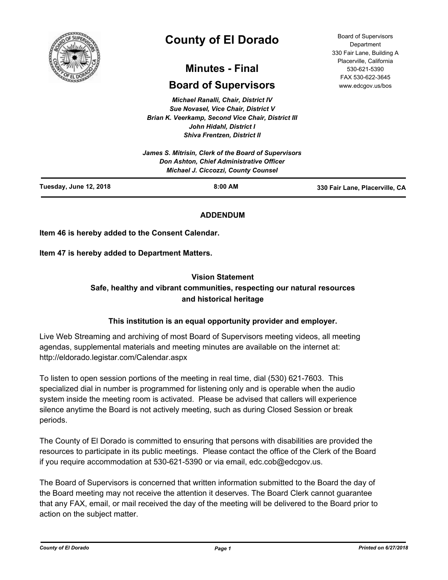

# **County of El Dorado**

# **Minutes - Final**

# **Board of Supervisors**

*Michael Ranalli, Chair, District IV Sue Novasel, Vice Chair, District V Brian K. Veerkamp, Second Vice Chair, District III John Hidahl, District I Shiva Frentzen, District II*

|                        | James S. Mitrisin, Clerk of the Board of Supervisors<br>Don Ashton, Chief Administrative Officer<br><b>Michael J. Ciccozzi, County Counsel</b> |                                |
|------------------------|------------------------------------------------------------------------------------------------------------------------------------------------|--------------------------------|
| Tuesday, June 12, 2018 | $8:00$ AM                                                                                                                                      | 330 Fair Lane, Placerville, CA |

# **ADDENDUM**

**Item 46 is hereby added to the Consent Calendar.**

**Item 47 is hereby added to Department Matters.**

# **Vision Statement**

# **Safe, healthy and vibrant communities, respecting our natural resources and historical heritage**

# **This institution is an equal opportunity provider and employer.**

Live Web Streaming and archiving of most Board of Supervisors meeting videos, all meeting agendas, supplemental materials and meeting minutes are available on the internet at: http://eldorado.legistar.com/Calendar.aspx

To listen to open session portions of the meeting in real time, dial (530) 621-7603. This specialized dial in number is programmed for listening only and is operable when the audio system inside the meeting room is activated. Please be advised that callers will experience silence anytime the Board is not actively meeting, such as during Closed Session or break periods.

The County of El Dorado is committed to ensuring that persons with disabilities are provided the resources to participate in its public meetings. Please contact the office of the Clerk of the Board if you require accommodation at 530-621-5390 or via email, edc.cob@edcgov.us.

The Board of Supervisors is concerned that written information submitted to the Board the day of the Board meeting may not receive the attention it deserves. The Board Clerk cannot guarantee that any FAX, email, or mail received the day of the meeting will be delivered to the Board prior to action on the subject matter.

Board of Supervisors Department 330 Fair Lane, Building A Placerville, California 530-621-5390 FAX 530-622-3645 www.edcgov.us/bos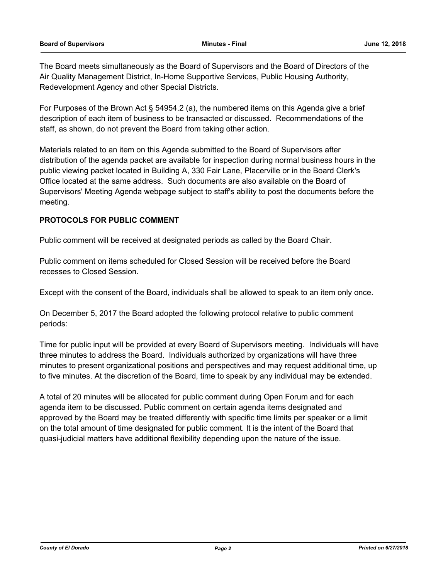The Board meets simultaneously as the Board of Supervisors and the Board of Directors of the Air Quality Management District, In-Home Supportive Services, Public Housing Authority, Redevelopment Agency and other Special Districts.

For Purposes of the Brown Act § 54954.2 (a), the numbered items on this Agenda give a brief description of each item of business to be transacted or discussed. Recommendations of the staff, as shown, do not prevent the Board from taking other action.

Materials related to an item on this Agenda submitted to the Board of Supervisors after distribution of the agenda packet are available for inspection during normal business hours in the public viewing packet located in Building A, 330 Fair Lane, Placerville or in the Board Clerk's Office located at the same address. Such documents are also available on the Board of Supervisors' Meeting Agenda webpage subject to staff's ability to post the documents before the meeting.

# **PROTOCOLS FOR PUBLIC COMMENT**

Public comment will be received at designated periods as called by the Board Chair.

Public comment on items scheduled for Closed Session will be received before the Board recesses to Closed Session.

Except with the consent of the Board, individuals shall be allowed to speak to an item only once.

On December 5, 2017 the Board adopted the following protocol relative to public comment periods:

Time for public input will be provided at every Board of Supervisors meeting. Individuals will have three minutes to address the Board. Individuals authorized by organizations will have three minutes to present organizational positions and perspectives and may request additional time, up to five minutes. At the discretion of the Board, time to speak by any individual may be extended.

A total of 20 minutes will be allocated for public comment during Open Forum and for each agenda item to be discussed. Public comment on certain agenda items designated and approved by the Board may be treated differently with specific time limits per speaker or a limit on the total amount of time designated for public comment. It is the intent of the Board that quasi-judicial matters have additional flexibility depending upon the nature of the issue.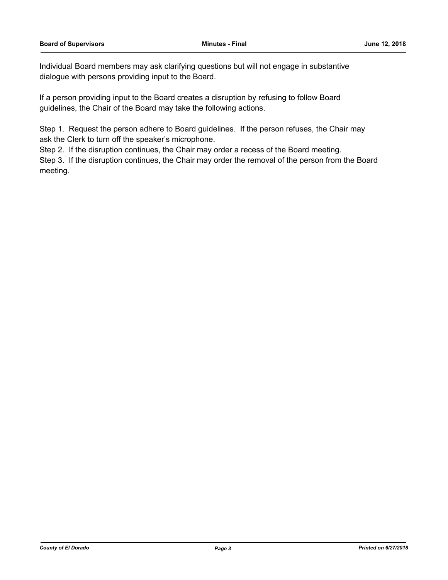Individual Board members may ask clarifying questions but will not engage in substantive dialogue with persons providing input to the Board.

If a person providing input to the Board creates a disruption by refusing to follow Board guidelines, the Chair of the Board may take the following actions.

Step 1. Request the person adhere to Board guidelines. If the person refuses, the Chair may ask the Clerk to turn off the speaker's microphone.

Step 2. If the disruption continues, the Chair may order a recess of the Board meeting.

Step 3. If the disruption continues, the Chair may order the removal of the person from the Board meeting.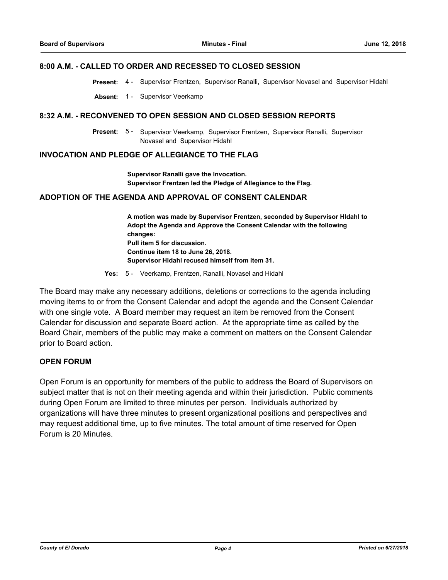#### **8:00 A.M. - CALLED TO ORDER AND RECESSED TO CLOSED SESSION**

**Present:** 4 - Supervisor Frentzen, Supervisor Ranalli, Supervisor Novasel and Supervisor Hidahl

**Absent:** 1 - Supervisor Veerkamp

#### **8:32 A.M. - RECONVENED TO OPEN SESSION AND CLOSED SESSION REPORTS**

Present: 5 - Supervisor Veerkamp, Supervisor Frentzen, Supervisor Ranalli, Supervisor Novasel and Supervisor Hidahl

#### **INVOCATION AND PLEDGE OF ALLEGIANCE TO THE FLAG**

**Supervisor Ranalli gave the Invocation. Supervisor Frentzen led the Pledge of Allegiance to the Flag.**

#### **ADOPTION OF THE AGENDA AND APPROVAL OF CONSENT CALENDAR**

**A motion was made by Supervisor Frentzen, seconded by Supervisor HIdahl to Adopt the Agenda and Approve the Consent Calendar with the following changes: Pull item 5 for discussion. Continue item 18 to June 26, 2018. Supervisor HIdahl recused himself from item 31.**

**Yes:** 5 - Veerkamp, Frentzen, Ranalli, Novasel and Hidahl

The Board may make any necessary additions, deletions or corrections to the agenda including moving items to or from the Consent Calendar and adopt the agenda and the Consent Calendar with one single vote. A Board member may request an item be removed from the Consent Calendar for discussion and separate Board action. At the appropriate time as called by the Board Chair, members of the public may make a comment on matters on the Consent Calendar prior to Board action.

#### **OPEN FORUM**

Open Forum is an opportunity for members of the public to address the Board of Supervisors on subject matter that is not on their meeting agenda and within their jurisdiction. Public comments during Open Forum are limited to three minutes per person. Individuals authorized by organizations will have three minutes to present organizational positions and perspectives and may request additional time, up to five minutes. The total amount of time reserved for Open Forum is 20 Minutes.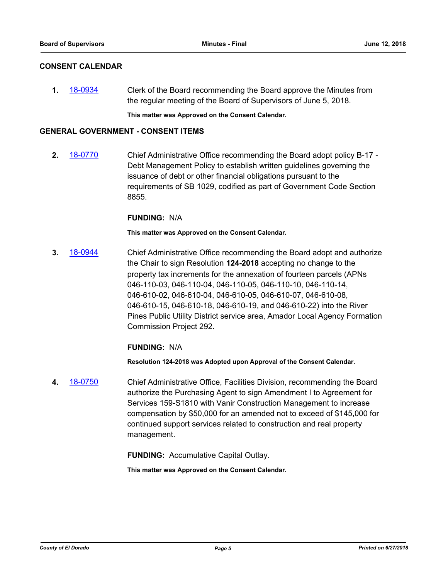### **CONSENT CALENDAR**

**1.** [18-0934](http://eldorado.legistar.com/gateway.aspx?m=l&id=/matter.aspx?key=24282) Clerk of the Board recommending the Board approve the Minutes from the regular meeting of the Board of Supervisors of June 5, 2018.

**This matter was Approved on the Consent Calendar.**

#### **GENERAL GOVERNMENT - CONSENT ITEMS**

**2.** [18-0770](http://eldorado.legistar.com/gateway.aspx?m=l&id=/matter.aspx?key=24117) Chief Administrative Office recommending the Board adopt policy B-17 - Debt Management Policy to establish written guidelines governing the issuance of debt or other financial obligations pursuant to the requirements of SB 1029, codified as part of Government Code Section 8855.

#### **FUNDING:** N/A

**This matter was Approved on the Consent Calendar.**

**3.** [18-0944](http://eldorado.legistar.com/gateway.aspx?m=l&id=/matter.aspx?key=24292) Chief Administrative Office recommending the Board adopt and authorize the Chair to sign Resolution **124-2018** accepting no change to the property tax increments for the annexation of fourteen parcels (APNs 046-110-03, 046-110-04, 046-110-05, 046-110-10, 046-110-14, 046-610-02, 046-610-04, 046-610-05, 046-610-07, 046-610-08, 046-610-15, 046-610-18, 046-610-19, and 046-610-22) into the River Pines Public Utility District service area, Amador Local Agency Formation Commission Project 292.

# **FUNDING:** N/A

**Resolution 124-2018 was Adopted upon Approval of the Consent Calendar.**

**4.** [18-0750](http://eldorado.legistar.com/gateway.aspx?m=l&id=/matter.aspx?key=24097) Chief Administrative Office, Facilities Division, recommending the Board authorize the Purchasing Agent to sign Amendment I to Agreement for Services 159-S1810 with Vanir Construction Management to increase compensation by \$50,000 for an amended not to exceed of \$145,000 for continued support services related to construction and real property management.

**FUNDING:** Accumulative Capital Outlay.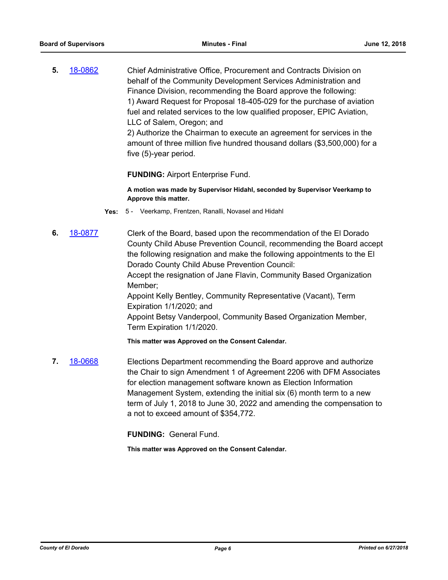**5.** [18-0862](http://eldorado.legistar.com/gateway.aspx?m=l&id=/matter.aspx?key=24209) Chief Administrative Office, Procurement and Contracts Division on behalf of the Community Development Services Administration and Finance Division, recommending the Board approve the following: 1) Award Request for Proposal 18-405-029 for the purchase of aviation fuel and related services to the low qualified proposer, EPIC Aviation, LLC of Salem, Oregon; and 2) Authorize the Chairman to execute an agreement for services in the

amount of three million five hundred thousand dollars (\$3,500,000) for a five (5)-year period.

**FUNDING:** Airport Enterprise Fund.

**A motion was made by Supervisor Hidahl, seconded by Supervisor Veerkamp to Approve this matter.**

- **Yes:** 5 Veerkamp, Frentzen, Ranalli, Novasel and Hidahl
- **6.** [18-0877](http://eldorado.legistar.com/gateway.aspx?m=l&id=/matter.aspx?key=24224) Clerk of the Board, based upon the recommendation of the El Dorado County Child Abuse Prevention Council, recommending the Board accept the following resignation and make the following appointments to the El Dorado County Child Abuse Prevention Council: Accept the resignation of Jane Flavin, Community Based Organization Member; Appoint Kelly Bentley, Community Representative (Vacant), Term Expiration 1/1/2020; and Appoint Betsy Vanderpool, Community Based Organization Member, Term Expiration 1/1/2020. **This matter was Approved on the Consent Calendar.**
- **7.** [18-0668](http://eldorado.legistar.com/gateway.aspx?m=l&id=/matter.aspx?key=24013) Elections Department recommending the Board approve and authorize the Chair to sign Amendment 1 of Agreement 2206 with DFM Associates for election management software known as Election Information Management System, extending the initial six (6) month term to a new term of July 1, 2018 to June 30, 2022 and amending the compensation to a not to exceed amount of \$354,772.

**FUNDING:** General Fund.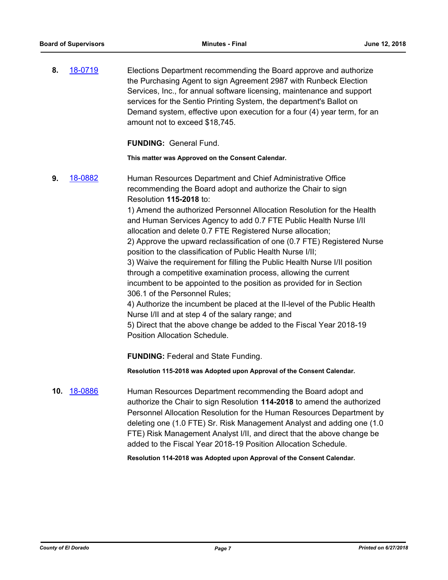**8.** [18-0719](http://eldorado.legistar.com/gateway.aspx?m=l&id=/matter.aspx?key=24065) Elections Department recommending the Board approve and authorize the Purchasing Agent to sign Agreement 2987 with Runbeck Election Services, Inc., for annual software licensing, maintenance and support services for the Sentio Printing System, the department's Ballot on Demand system, effective upon execution for a four (4) year term, for an amount not to exceed \$18,745.

**FUNDING:** General Fund.

**This matter was Approved on the Consent Calendar.**

**9.** [18-0882](http://eldorado.legistar.com/gateway.aspx?m=l&id=/matter.aspx?key=24229) Human Resources Department and Chief Administrative Office recommending the Board adopt and authorize the Chair to sign Resolution **115-2018** to: 1) Amend the authorized Personnel Allocation Resolution for the Health and Human Services Agency to add 0.7 FTE Public Health Nurse I/II allocation and delete 0.7 FTE Registered Nurse allocation; 2) Approve the upward reclassification of one (0.7 FTE) Registered Nurse position to the classification of Public Health Nurse I/II; 3) Waive the requirement for filling the Public Health Nurse I/II position through a competitive examination process, allowing the current incumbent to be appointed to the position as provided for in Section 306.1 of the Personnel Rules; 4) Authorize the incumbent be placed at the II-level of the Public Health Nurse I/II and at step 4 of the salary range; and 5) Direct that the above change be added to the Fiscal Year 2018-19 Position Allocation Schedule. **FUNDING:** Federal and State Funding. **Resolution 115-2018 was Adopted upon Approval of the Consent Calendar. 10.** [18-0886](http://eldorado.legistar.com/gateway.aspx?m=l&id=/matter.aspx?key=24233) Human Resources Department recommending the Board adopt and authorize the Chair to sign Resolution **114-2018** to amend the authorized Personnel Allocation Resolution for the Human Resources Department by deleting one (1.0 FTE) Sr. Risk Management Analyst and adding one (1.0

FTE) Risk Management Analyst I/II, and direct that the above change be added to the Fiscal Year 2018-19 Position Allocation Schedule.

**Resolution 114-2018 was Adopted upon Approval of the Consent Calendar.**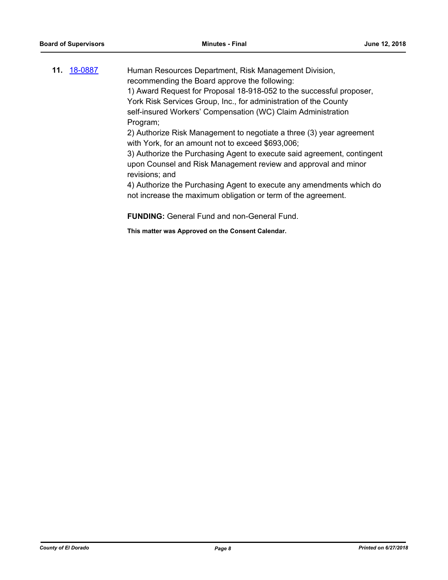| 11. 18-0887 | Human Resources Department, Risk Management Division,                   |
|-------------|-------------------------------------------------------------------------|
|             | recommending the Board approve the following:                           |
|             | 1) Award Request for Proposal 18-918-052 to the successful proposer,    |
|             | York Risk Services Group, Inc., for administration of the County        |
|             | self-insured Workers' Compensation (WC) Claim Administration            |
|             | Program;                                                                |
|             | 2) Authorize Risk Management to negotiate a three (3) year agreement    |
|             | with York, for an amount not to exceed \$693,006;                       |
|             | 3) Authorize the Purchasing Agent to execute said agreement, contingent |
|             | upon Counsel and Risk Management review and approval and minor          |
|             | revisions; and                                                          |
|             | 4) Authorize the Purchasing Agent to execute any amendments which do    |
|             | not increase the maximum obligation or term of the agreement.           |
|             |                                                                         |

**FUNDING:** General Fund and non-General Fund.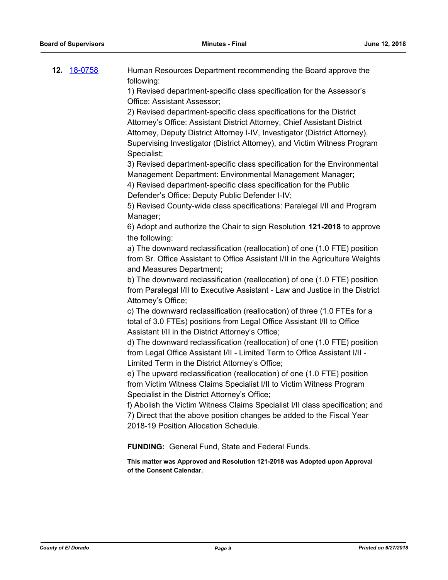**12.** [18-0758](http://eldorado.legistar.com/gateway.aspx?m=l&id=/matter.aspx?key=24105) Human Resources Department recommending the Board approve the following:

1) Revised department-specific class specification for the Assessor's Office: Assistant Assessor;

2) Revised department-specific class specifications for the District Attorney's Office: Assistant District Attorney, Chief Assistant District Attorney, Deputy District Attorney I-IV, Investigator (District Attorney), Supervising Investigator (District Attorney), and Victim Witness Program Specialist;

3) Revised department-specific class specification for the Environmental Management Department: Environmental Management Manager;

4) Revised department-specific class specification for the Public Defender's Office: Deputy Public Defender I-IV;

5) Revised County-wide class specifications: Paralegal I/II and Program Manager;

6) Adopt and authorize the Chair to sign Resolution **121-2018** to approve the following:

a) The downward reclassification (reallocation) of one (1.0 FTE) position from Sr. Office Assistant to Office Assistant I/II in the Agriculture Weights and Measures Department;

b) The downward reclassification (reallocation) of one (1.0 FTE) position from Paralegal I/II to Executive Assistant - Law and Justice in the District Attorney's Office;

c) The downward reclassification (reallocation) of three (1.0 FTEs for a total of 3.0 FTEs) positions from Legal Office Assistant I/II to Office Assistant I/II in the District Attorney's Office;

d) The downward reclassification (reallocation) of one (1.0 FTE) position from Legal Office Assistant I/II - Limited Term to Office Assistant I/II - Limited Term in the District Attorney's Office;

e) The upward reclassification (reallocation) of one (1.0 FTE) position from Victim Witness Claims Specialist I/II to Victim Witness Program Specialist in the District Attorney's Office;

f) Abolish the Victim Witness Claims Specialist I/II class specification; and 7) Direct that the above position changes be added to the Fiscal Year 2018-19 Position Allocation Schedule.

**FUNDING:** General Fund, State and Federal Funds.

**This matter was Approved and Resolution 121-2018 was Adopted upon Approval of the Consent Calendar.**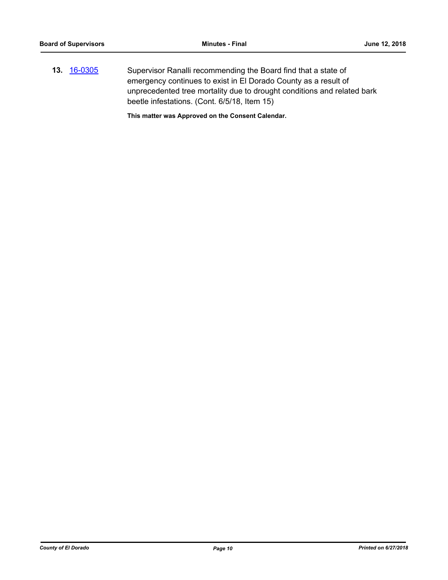**13.** [16-0305](http://eldorado.legistar.com/gateway.aspx?m=l&id=/matter.aspx?key=20961) Supervisor Ranalli recommending the Board find that a state of emergency continues to exist in El Dorado County as a result of unprecedented tree mortality due to drought conditions and related bark beetle infestations. (Cont. 6/5/18, Item 15)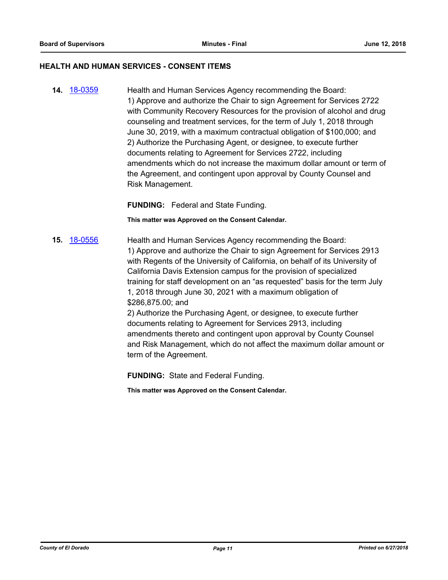#### **HEALTH AND HUMAN SERVICES - CONSENT ITEMS**

**14.** [18-0359](http://eldorado.legistar.com/gateway.aspx?m=l&id=/matter.aspx?key=23702) Health and Human Services Agency recommending the Board: 1) Approve and authorize the Chair to sign Agreement for Services 2722 with Community Recovery Resources for the provision of alcohol and drug counseling and treatment services, for the term of July 1, 2018 through June 30, 2019, with a maximum contractual obligation of \$100,000; and 2) Authorize the Purchasing Agent, or designee, to execute further documents relating to Agreement for Services 2722, including amendments which do not increase the maximum dollar amount or term of the Agreement, and contingent upon approval by County Counsel and Risk Management.

**FUNDING:** Federal and State Funding.

**This matter was Approved on the Consent Calendar.**

**15.** [18-0556](http://eldorado.legistar.com/gateway.aspx?m=l&id=/matter.aspx?key=23901) Health and Human Services Agency recommending the Board: 1) Approve and authorize the Chair to sign Agreement for Services 2913 with Regents of the University of California, on behalf of its University of California Davis Extension campus for the provision of specialized training for staff development on an "as requested" basis for the term July 1, 2018 through June 30, 2021 with a maximum obligation of \$286,875.00; and

2) Authorize the Purchasing Agent, or designee, to execute further documents relating to Agreement for Services 2913, including amendments thereto and contingent upon approval by County Counsel and Risk Management, which do not affect the maximum dollar amount or term of the Agreement.

**FUNDING:** State and Federal Funding.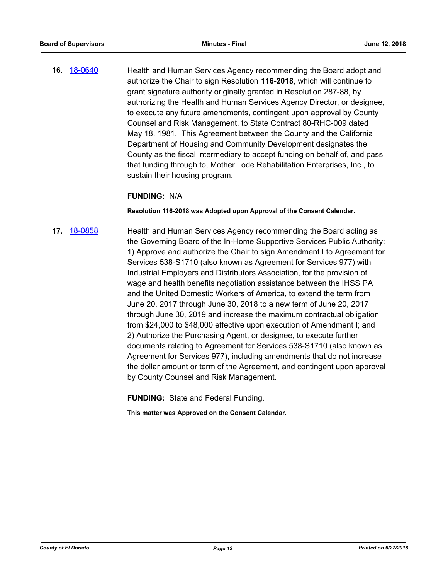**16.** [18-0640](http://eldorado.legistar.com/gateway.aspx?m=l&id=/matter.aspx?key=23985) Health and Human Services Agency recommending the Board adopt and authorize the Chair to sign Resolution **116-2018**, which will continue to grant signature authority originally granted in Resolution 287-88, by authorizing the Health and Human Services Agency Director, or designee, to execute any future amendments, contingent upon approval by County Counsel and Risk Management, to State Contract 80-RHC-009 dated May 18, 1981. This Agreement between the County and the California Department of Housing and Community Development designates the County as the fiscal intermediary to accept funding on behalf of, and pass that funding through to, Mother Lode Rehabilitation Enterprises, Inc., to sustain their housing program.

#### **FUNDING:** N/A

#### **Resolution 116-2018 was Adopted upon Approval of the Consent Calendar.**

**17.** [18-0858](http://eldorado.legistar.com/gateway.aspx?m=l&id=/matter.aspx?key=24205) Health and Human Services Agency recommending the Board acting as the Governing Board of the In-Home Supportive Services Public Authority: 1) Approve and authorize the Chair to sign Amendment I to Agreement for Services 538-S1710 (also known as Agreement for Services 977) with Industrial Employers and Distributors Association, for the provision of wage and health benefits negotiation assistance between the IHSS PA and the United Domestic Workers of America, to extend the term from June 20, 2017 through June 30, 2018 to a new term of June 20, 2017 through June 30, 2019 and increase the maximum contractual obligation from \$24,000 to \$48,000 effective upon execution of Amendment I; and 2) Authorize the Purchasing Agent, or designee, to execute further documents relating to Agreement for Services 538-S1710 (also known as Agreement for Services 977), including amendments that do not increase the dollar amount or term of the Agreement, and contingent upon approval by County Counsel and Risk Management.

**FUNDING:** State and Federal Funding.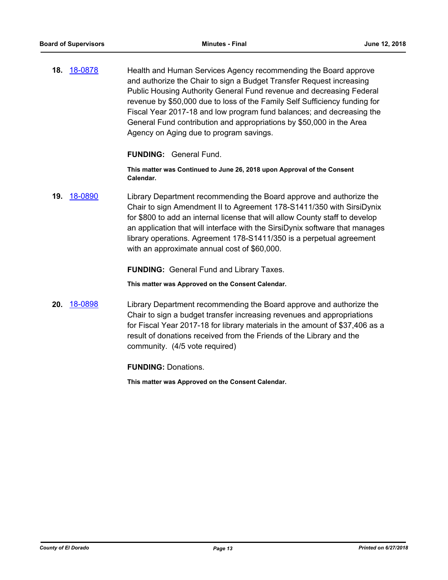**18.** [18-0878](http://eldorado.legistar.com/gateway.aspx?m=l&id=/matter.aspx?key=24225) Health and Human Services Agency recommending the Board approve and authorize the Chair to sign a Budget Transfer Request increasing Public Housing Authority General Fund revenue and decreasing Federal revenue by \$50,000 due to loss of the Family Self Sufficiency funding for Fiscal Year 2017-18 and low program fund balances; and decreasing the General Fund contribution and appropriations by \$50,000 in the Area Agency on Aging due to program savings.

#### **FUNDING:** General Fund.

**This matter was Continued to June 26, 2018 upon Approval of the Consent Calendar.**

**19.** [18-0890](http://eldorado.legistar.com/gateway.aspx?m=l&id=/matter.aspx?key=24237) Library Department recommending the Board approve and authorize the Chair to sign Amendment II to Agreement 178-S1411/350 with SirsiDynix for \$800 to add an internal license that will allow County staff to develop an application that will interface with the SirsiDynix software that manages library operations. Agreement 178-S1411/350 is a perpetual agreement with an approximate annual cost of \$60,000.

#### **FUNDING:** General Fund and Library Taxes.

**This matter was Approved on the Consent Calendar.**

**20.** [18-0898](http://eldorado.legistar.com/gateway.aspx?m=l&id=/matter.aspx?key=24246) Library Department recommending the Board approve and authorize the Chair to sign a budget transfer increasing revenues and appropriations for Fiscal Year 2017-18 for library materials in the amount of \$37,406 as a result of donations received from the Friends of the Library and the community. (4/5 vote required)

**FUNDING:** Donations.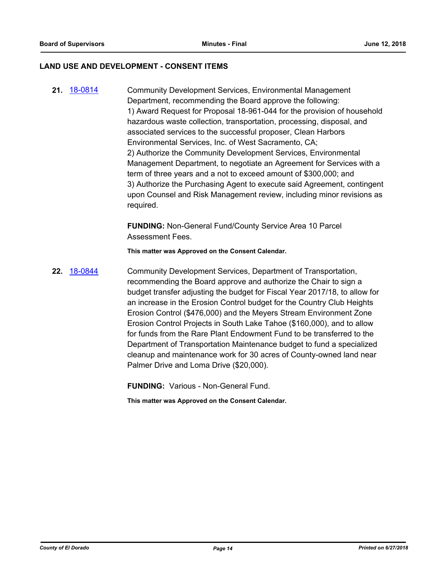#### **LAND USE AND DEVELOPMENT - CONSENT ITEMS**

**21.** [18-0814](http://eldorado.legistar.com/gateway.aspx?m=l&id=/matter.aspx?key=24161) Community Development Services, Environmental Management Department, recommending the Board approve the following: 1) Award Request for Proposal 18-961-044 for the provision of household hazardous waste collection, transportation, processing, disposal, and associated services to the successful proposer, Clean Harbors Environmental Services, Inc. of West Sacramento, CA; 2) Authorize the Community Development Services, Environmental Management Department, to negotiate an Agreement for Services with a term of three years and a not to exceed amount of \$300,000; and 3) Authorize the Purchasing Agent to execute said Agreement, contingent upon Counsel and Risk Management review, including minor revisions as required.

> **FUNDING:** Non-General Fund/County Service Area 10 Parcel Assessment Fees.

**This matter was Approved on the Consent Calendar.**

**22.** [18-0844](http://eldorado.legistar.com/gateway.aspx?m=l&id=/matter.aspx?key=24191) Community Development Services, Department of Transportation, recommending the Board approve and authorize the Chair to sign a budget transfer adjusting the budget for Fiscal Year 2017/18, to allow for an increase in the Erosion Control budget for the Country Club Heights Erosion Control (\$476,000) and the Meyers Stream Environment Zone Erosion Control Projects in South Lake Tahoe (\$160,000), and to allow for funds from the Rare Plant Endowment Fund to be transferred to the Department of Transportation Maintenance budget to fund a specialized cleanup and maintenance work for 30 acres of County-owned land near Palmer Drive and Loma Drive (\$20,000).

**FUNDING:** Various - Non-General Fund.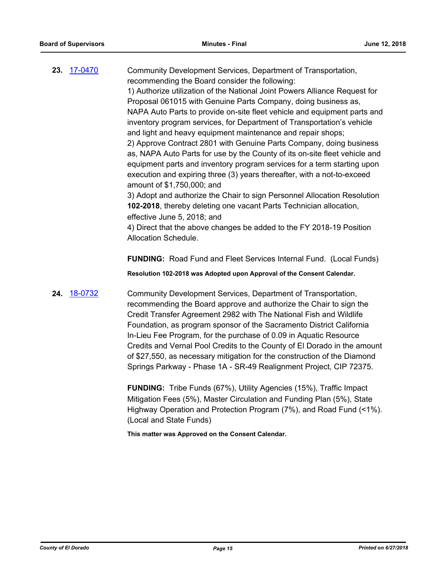**23.** [17-0470](http://eldorado.legistar.com/gateway.aspx?m=l&id=/matter.aspx?key=22409) Community Development Services, Department of Transportation, recommending the Board consider the following: 1) Authorize utilization of the National Joint Powers Alliance Request for Proposal 061015 with Genuine Parts Company, doing business as, NAPA Auto Parts to provide on-site fleet vehicle and equipment parts and inventory program services, for Department of Transportation's vehicle and light and heavy equipment maintenance and repair shops; 2) Approve Contract 2801 with Genuine Parts Company, doing business as, NAPA Auto Parts for use by the County of its on-site fleet vehicle and equipment parts and inventory program services for a term starting upon execution and expiring three (3) years thereafter, with a not-to-exceed amount of \$1,750,000; and 3) Adopt and authorize the Chair to sign Personnel Allocation Resolution **102-2018**, thereby deleting one vacant Parts Technician allocation, effective June 5, 2018; and 4) Direct that the above changes be added to the FY 2018-19 Position Allocation Schedule. **FUNDING:** Road Fund and Fleet Services Internal Fund. (Local Funds)

**Resolution 102-2018 was Adopted upon Approval of the Consent Calendar.**

**24.** [18-0732](http://eldorado.legistar.com/gateway.aspx?m=l&id=/matter.aspx?key=24079) Community Development Services, Department of Transportation, recommending the Board approve and authorize the Chair to sign the Credit Transfer Agreement 2982 with The National Fish and Wildlife Foundation, as program sponsor of the Sacramento District California In-Lieu Fee Program, for the purchase of 0.09 in Aquatic Resource Credits and Vernal Pool Credits to the County of El Dorado in the amount of \$27,550, as necessary mitigation for the construction of the Diamond Springs Parkway - Phase 1A - SR-49 Realignment Project, CIP 72375.

> **FUNDING:** Tribe Funds (67%), Utility Agencies (15%), Traffic Impact Mitigation Fees (5%), Master Circulation and Funding Plan (5%), State Highway Operation and Protection Program (7%), and Road Fund (<1%). (Local and State Funds)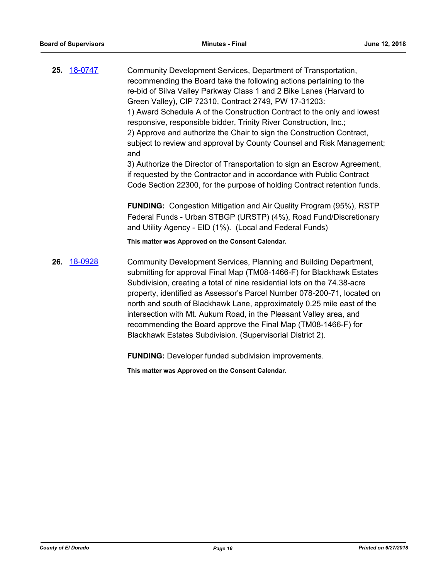**25.** [18-0747](http://eldorado.legistar.com/gateway.aspx?m=l&id=/matter.aspx?key=24094) Community Development Services, Department of Transportation, recommending the Board take the following actions pertaining to the re-bid of Silva Valley Parkway Class 1 and 2 Bike Lanes (Harvard to Green Valley), CIP 72310, Contract 2749, PW 17-31203: 1) Award Schedule A of the Construction Contract to the only and lowest responsive, responsible bidder, Trinity River Construction, Inc.; 2) Approve and authorize the Chair to sign the Construction Contract, subject to review and approval by County Counsel and Risk Management; and 3) Authorize the Director of Transportation to sign an Escrow Agreement, if requested by the Contractor and in accordance with Public Contract

Code Section 22300, for the purpose of holding Contract retention funds.

**FUNDING:** Congestion Mitigation and Air Quality Program (95%), RSTP Federal Funds - Urban STBGP (URSTP) (4%), Road Fund/Discretionary and Utility Agency - EID (1%). (Local and Federal Funds)

**This matter was Approved on the Consent Calendar.**

**26.** [18-0928](http://eldorado.legistar.com/gateway.aspx?m=l&id=/matter.aspx?key=24276) Community Development Services, Planning and Building Department, submitting for approval Final Map (TM08-1466-F) for Blackhawk Estates Subdivision, creating a total of nine residential lots on the 74.38-acre property, identified as Assessor's Parcel Number 078-200-71, located on north and south of Blackhawk Lane, approximately 0.25 mile east of the intersection with Mt. Aukum Road, in the Pleasant Valley area, and recommending the Board approve the Final Map (TM08-1466-F) for Blackhawk Estates Subdivision. (Supervisorial District 2).

**FUNDING:** Developer funded subdivision improvements.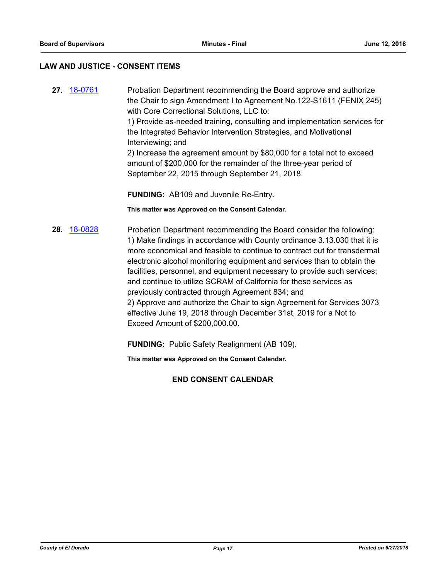#### **LAW AND JUSTICE - CONSENT ITEMS**

**27.** [18-0761](http://eldorado.legistar.com/gateway.aspx?m=l&id=/matter.aspx?key=24108) Probation Department recommending the Board approve and authorize the Chair to sign Amendment I to Agreement No.122-S1611 (FENIX 245) with Core Correctional Solutions, LLC to: 1) Provide as-needed training, consulting and implementation services for the Integrated Behavior Intervention Strategies, and Motivational Interviewing; and 2) Increase the agreement amount by \$80,000 for a total not to exceed amount of \$200,000 for the remainder of the three-year period of September 22, 2015 through September 21, 2018.

**FUNDING:** AB109 and Juvenile Re-Entry.

**This matter was Approved on the Consent Calendar.**

**28.** [18-0828](http://eldorado.legistar.com/gateway.aspx?m=l&id=/matter.aspx?key=24175) Probation Department recommending the Board consider the following: 1) Make findings in accordance with County ordinance 3.13.030 that it is more economical and feasible to continue to contract out for transdermal electronic alcohol monitoring equipment and services than to obtain the facilities, personnel, and equipment necessary to provide such services; and continue to utilize SCRAM of California for these services as previously contracted through Agreement 834; and 2) Approve and authorize the Chair to sign Agreement for Services 3073 effective June 19, 2018 through December 31st, 2019 for a Not to Exceed Amount of \$200,000.00.

**FUNDING:** Public Safety Realignment (AB 109).

**This matter was Approved on the Consent Calendar.**

**END CONSENT CALENDAR**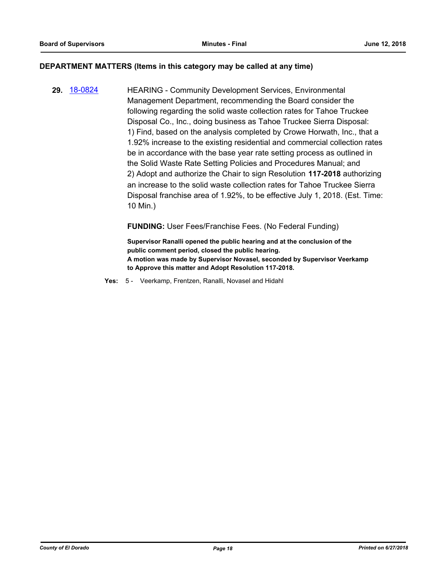#### **DEPARTMENT MATTERS (Items in this category may be called at any time)**

**29.** [18-0824](http://eldorado.legistar.com/gateway.aspx?m=l&id=/matter.aspx?key=24171) HEARING - Community Development Services, Environmental Management Department, recommending the Board consider the following regarding the solid waste collection rates for Tahoe Truckee Disposal Co., Inc., doing business as Tahoe Truckee Sierra Disposal: 1) Find, based on the analysis completed by Crowe Horwath, Inc., that a 1.92% increase to the existing residential and commercial collection rates be in accordance with the base year rate setting process as outlined in the Solid Waste Rate Setting Policies and Procedures Manual; and 2) Adopt and authorize the Chair to sign Resolution **117-2018** authorizing an increase to the solid waste collection rates for Tahoe Truckee Sierra Disposal franchise area of 1.92%, to be effective July 1, 2018. (Est. Time: 10 Min.)

**FUNDING:** User Fees/Franchise Fees. (No Federal Funding)

**Supervisor Ranalli opened the public hearing and at the conclusion of the public comment period, closed the public hearing. A motion was made by Supervisor Novasel, seconded by Supervisor Veerkamp to Approve this matter and Adopt Resolution 117-2018.**

**Yes:** 5 - Veerkamp, Frentzen, Ranalli, Novasel and Hidahl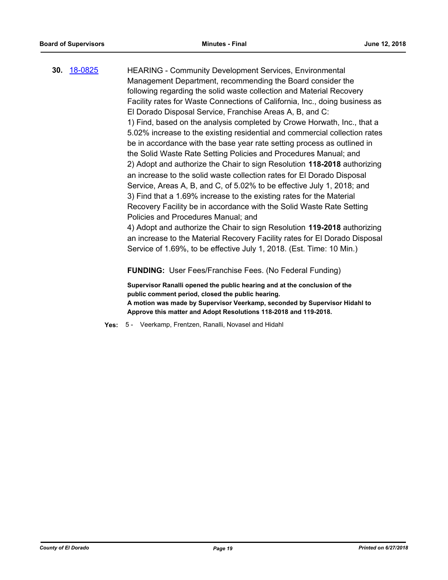**30.** [18-0825](http://eldorado.legistar.com/gateway.aspx?m=l&id=/matter.aspx?key=24172) HEARING - Community Development Services, Environmental Management Department, recommending the Board consider the following regarding the solid waste collection and Material Recovery Facility rates for Waste Connections of California, Inc., doing business as El Dorado Disposal Service, Franchise Areas A, B, and C: 1) Find, based on the analysis completed by Crowe Horwath, Inc., that a 5.02% increase to the existing residential and commercial collection rates be in accordance with the base year rate setting process as outlined in the Solid Waste Rate Setting Policies and Procedures Manual; and 2) Adopt and authorize the Chair to sign Resolution **118-2018** authorizing an increase to the solid waste collection rates for El Dorado Disposal Service, Areas A, B, and C, of 5.02% to be effective July 1, 2018; and 3) Find that a 1.69% increase to the existing rates for the Material Recovery Facility be in accordance with the Solid Waste Rate Setting Policies and Procedures Manual; and 4) Adopt and authorize the Chair to sign Resolution **119-2018** authorizing an increase to the Material Recovery Facility rates for El Dorado Disposal Service of 1.69%, to be effective July 1, 2018. (Est. Time: 10 Min.) **FUNDING:** User Fees/Franchise Fees. (No Federal Funding)

**Supervisor Ranalli opened the public hearing and at the conclusion of the public comment period, closed the public hearing. A motion was made by Supervisor Veerkamp, seconded by Supervisor Hidahl to Approve this matter and Adopt Resolutions 118-2018 and 119-2018.**

**Yes:** 5 - Veerkamp, Frentzen, Ranalli, Novasel and Hidahl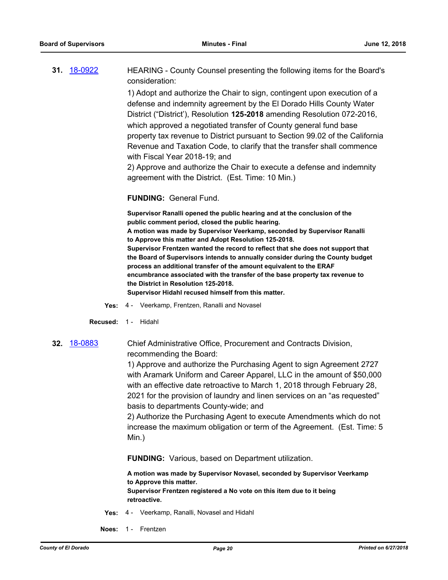| <b>31.</b> 18-0922 | HEARING - County Counsel presenting the following items for the Board's  |
|--------------------|--------------------------------------------------------------------------|
|                    | consideration:                                                           |
|                    | 1) Adopt and authorize the Chair to sign, contingent upon execution of a |

defense and indemnity agreement by the El Dorado Hills County Water District ("District'), Resolution **125-2018** amending Resolution 072-2016, which approved a negotiated transfer of County general fund base property tax revenue to District pursuant to Section 99.02 of the California Revenue and Taxation Code, to clarify that the transfer shall commence with Fiscal Year 2018-19; and

2) Approve and authorize the Chair to execute a defense and indemnity agreement with the District. (Est. Time: 10 Min.)

#### **FUNDING:** General Fund.

**Supervisor Ranalli opened the public hearing and at the conclusion of the public comment period, closed the public hearing. A motion was made by Supervisor Veerkamp, seconded by Supervisor Ranalli to Approve this matter and Adopt Resolution 125-2018. Supervisor Frentzen wanted the record to reflect that she does not support that the Board of Supervisors intends to annually consider during the County budget process an additional transfer of the amount equivalent to the ERAF encumbrance associated with the transfer of the base property tax revenue to the District in Resolution 125-2018. Supervisor Hidahl recused himself from this matter.**

**Yes:** 4 - Veerkamp, Frentzen, Ranalli and Novasel

**Recused:** 1 - Hidahl

**32.** [18-0883](http://eldorado.legistar.com/gateway.aspx?m=l&id=/matter.aspx?key=24230) Chief Administrative Office, Procurement and Contracts Division, recommending the Board:

> 1) Approve and authorize the Purchasing Agent to sign Agreement 2727 with Aramark Uniform and Career Apparel, LLC in the amount of \$50,000 with an effective date retroactive to March 1, 2018 through February 28, 2021 for the provision of laundry and linen services on an "as requested" basis to departments County-wide; and

> 2) Authorize the Purchasing Agent to execute Amendments which do not increase the maximum obligation or term of the Agreement. (Est. Time: 5 Min.)

**FUNDING:** Various, based on Department utilization.

**A motion was made by Supervisor Novasel, seconded by Supervisor Veerkamp to Approve this matter. Supervisor Frentzen registered a No vote on this item due to it being retroactive.**

- **Yes:** 4 Veerkamp, Ranalli, Novasel and Hidahl
- **Noes:** 1 Frentzen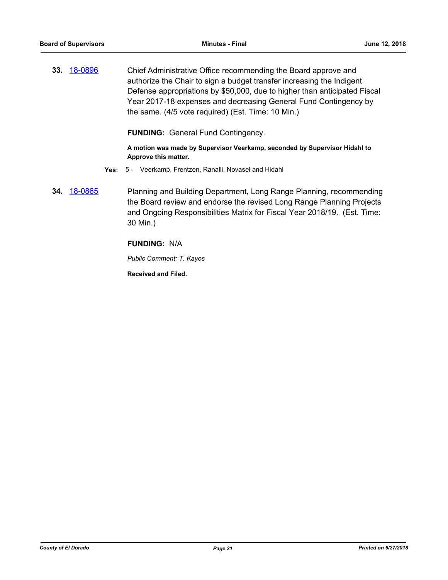**33.** [18-0896](http://eldorado.legistar.com/gateway.aspx?m=l&id=/matter.aspx?key=24243) Chief Administrative Office recommending the Board approve and authorize the Chair to sign a budget transfer increasing the Indigent Defense appropriations by \$50,000, due to higher than anticipated Fiscal Year 2017-18 expenses and decreasing General Fund Contingency by the same. (4/5 vote required) (Est. Time: 10 Min.)

**FUNDING:** General Fund Contingency.

**A motion was made by Supervisor Veerkamp, seconded by Supervisor Hidahl to Approve this matter.**

- **Yes:** 5 Veerkamp, Frentzen, Ranalli, Novasel and Hidahl
- **34.** [18-0865](http://eldorado.legistar.com/gateway.aspx?m=l&id=/matter.aspx?key=24212) Planning and Building Department, Long Range Planning, recommending the Board review and endorse the revised Long Range Planning Projects and Ongoing Responsibilities Matrix for Fiscal Year 2018/19. (Est. Time: 30 Min.)

# **FUNDING:** N/A

*Public Comment: T. Kayes*

**Received and Filed.**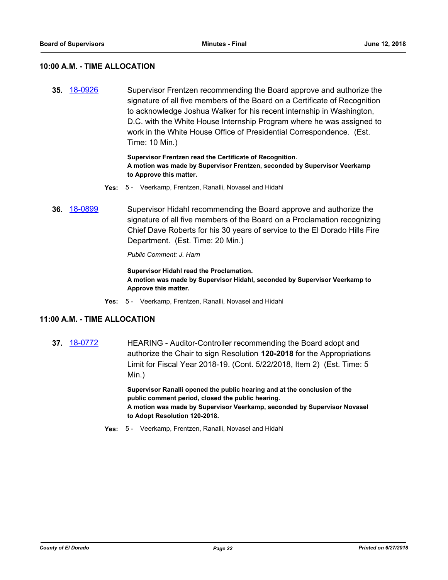#### **10:00 A.M. - TIME ALLOCATION**

**35.** [18-0926](http://eldorado.legistar.com/gateway.aspx?m=l&id=/matter.aspx?key=24274) Supervisor Frentzen recommending the Board approve and authorize the signature of all five members of the Board on a Certificate of Recognition to acknowledge Joshua Walker for his recent internship in Washington, D.C. with the White House Internship Program where he was assigned to work in the White House Office of Presidential Correspondence. (Est. Time: 10 Min.)

#### **Supervisor Frentzen read the Certificate of Recognition. A motion was made by Supervisor Frentzen, seconded by Supervisor Veerkamp to Approve this matter.**

- **Yes:** 5 Veerkamp, Frentzen, Ranalli, Novasel and Hidahl
- **36.** [18-0899](http://eldorado.legistar.com/gateway.aspx?m=l&id=/matter.aspx?key=24247) Supervisor Hidahl recommending the Board approve and authorize the signature of all five members of the Board on a Proclamation recognizing Chief Dave Roberts for his 30 years of service to the El Dorado Hills Fire Department. (Est. Time: 20 Min.)

*Public Comment: J. Harn*

**Supervisor Hidahl read the Proclamation. A motion was made by Supervisor Hidahl, seconded by Supervisor Veerkamp to Approve this matter.**

**Yes:** 5 - Veerkamp, Frentzen, Ranalli, Novasel and Hidahl

# **11:00 A.M. - TIME ALLOCATION**

**37.** [18-0772](http://eldorado.legistar.com/gateway.aspx?m=l&id=/matter.aspx?key=24119) HEARING - Auditor-Controller recommending the Board adopt and authorize the Chair to sign Resolution **120-2018** for the Appropriations Limit for Fiscal Year 2018-19. (Cont. 5/22/2018, Item 2) (Est. Time: 5 Min.)

> **Supervisor Ranalli opened the public hearing and at the conclusion of the public comment period, closed the public hearing. A motion was made by Supervisor Veerkamp, seconded by Supervisor Novasel to Adopt Resolution 120-2018.**

**Yes:** 5 - Veerkamp, Frentzen, Ranalli, Novasel and Hidahl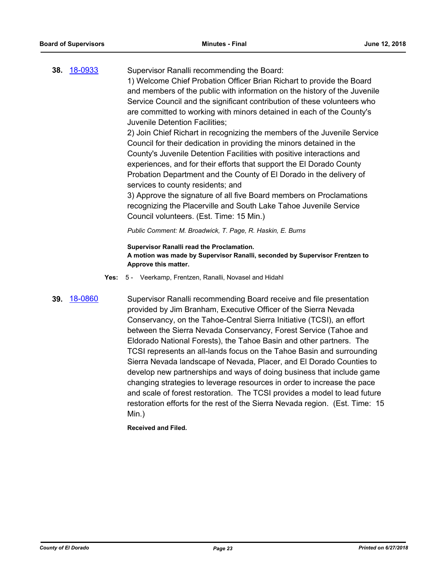# **38.** [18-0933](http://eldorado.legistar.com/gateway.aspx?m=l&id=/matter.aspx?key=24281) Supervisor Ranalli recommending the Board: 1) Welcome Chief Probation Officer Brian Richart to provide the Board and members of the public with information on the history of the Juvenile Service Council and the significant contribution of these volunteers who are committed to working with minors detained in each of the County's

Juvenile Detention Facilities;

2) Join Chief Richart in recognizing the members of the Juvenile Service Council for their dedication in providing the minors detained in the County's Juvenile Detention Facilities with positive interactions and experiences, and for their efforts that support the El Dorado County Probation Department and the County of El Dorado in the delivery of services to county residents; and

3) Approve the signature of all five Board members on Proclamations recognizing the Placerville and South Lake Tahoe Juvenile Service Council volunteers. (Est. Time: 15 Min.)

*Public Comment: M. Broadwick, T. Page, R. Haskin, E. Burns*

**Supervisor Ranalli read the Proclamation. A motion was made by Supervisor Ranalli, seconded by Supervisor Frentzen to Approve this matter.**

**Yes:** 5 - Veerkamp, Frentzen, Ranalli, Novasel and Hidahl

**39.** [18-0860](http://eldorado.legistar.com/gateway.aspx?m=l&id=/matter.aspx?key=24207) Supervisor Ranalli recommending Board receive and file presentation provided by Jim Branham, Executive Officer of the Sierra Nevada Conservancy, on the Tahoe-Central Sierra Initiative (TCSI), an effort between the Sierra Nevada Conservancy, Forest Service (Tahoe and Eldorado National Forests), the Tahoe Basin and other partners. The TCSI represents an all-lands focus on the Tahoe Basin and surrounding Sierra Nevada landscape of Nevada, Placer, and El Dorado Counties to develop new partnerships and ways of doing business that include game changing strategies to leverage resources in order to increase the pace and scale of forest restoration. The TCSI provides a model to lead future restoration efforts for the rest of the Sierra Nevada region. (Est. Time: 15 Min.)

**Received and Filed.**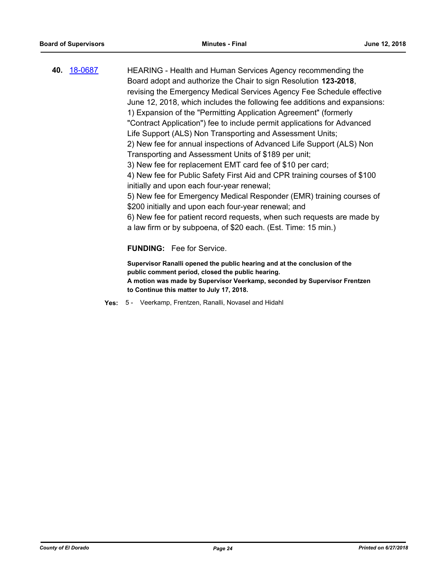| 40. <u>18-0687</u> | HEARING - Health and Human Services Agency recommending the                                                                    |
|--------------------|--------------------------------------------------------------------------------------------------------------------------------|
|                    | Board adopt and authorize the Chair to sign Resolution 123-2018,                                                               |
|                    | revising the Emergency Medical Services Agency Fee Schedule effective                                                          |
|                    | June 12, 2018, which includes the following fee additions and expansions:                                                      |
|                    | 1) Expansion of the "Permitting Application Agreement" (formerly                                                               |
|                    | "Contract Application") fee to include permit applications for Advanced                                                        |
|                    | Life Support (ALS) Non Transporting and Assessment Units;                                                                      |
|                    | 2) New fee for annual inspections of Advanced Life Support (ALS) Non                                                           |
|                    | Transporting and Assessment Units of \$189 per unit;                                                                           |
|                    | 3) New fee for replacement EMT card fee of \$10 per card;                                                                      |
|                    | 4) New fee for Public Safety First Aid and CPR training courses of \$100                                                       |
|                    | initially and upon each four-year renewal;                                                                                     |
|                    | 5) New fee for Emergency Medical Responder (EMR) training courses of                                                           |
|                    | \$200 initially and upon each four-year renewal; and                                                                           |
|                    | 6) New fee for patient record requests, when such requests are made by                                                         |
|                    | a law firm or by subpoena, of \$20 each. (Est. Time: 15 min.)                                                                  |
|                    | <b>FUNDING:</b> Fee for Service.                                                                                               |
|                    |                                                                                                                                |
|                    | Supervisor Ranalli opened the public hearing and at the conclusion of the<br>public comment period, closed the public hearing. |
|                    | A motion was mado by Supervisor Voorkamp, seconded by Supervisor Frontzen                                                      |

**A motion was made by Supervisor Veerkamp, seconded by Supervisor Frentzen to Continue this matter to July 17, 2018.**

**Yes:** 5 - Veerkamp, Frentzen, Ranalli, Novasel and Hidahl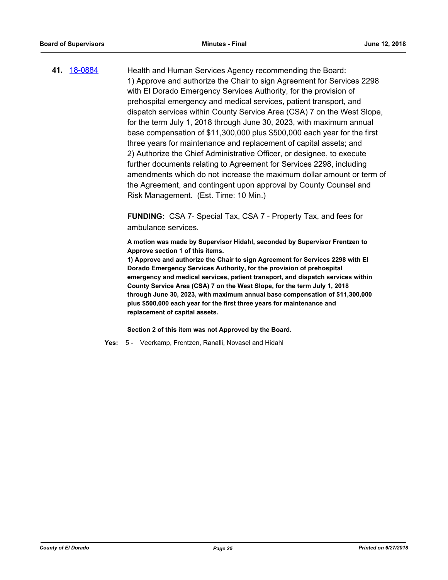**41.** [18-0884](http://eldorado.legistar.com/gateway.aspx?m=l&id=/matter.aspx?key=24231) Health and Human Services Agency recommending the Board: 1) Approve and authorize the Chair to sign Agreement for Services 2298 with El Dorado Emergency Services Authority, for the provision of prehospital emergency and medical services, patient transport, and dispatch services within County Service Area (CSA) 7 on the West Slope, for the term July 1, 2018 through June 30, 2023, with maximum annual base compensation of \$11,300,000 plus \$500,000 each year for the first three years for maintenance and replacement of capital assets; and 2) Authorize the Chief Administrative Officer, or designee, to execute further documents relating to Agreement for Services 2298, including amendments which do not increase the maximum dollar amount or term of the Agreement, and contingent upon approval by County Counsel and Risk Management. (Est. Time: 10 Min.)

> **FUNDING:** CSA 7- Special Tax, CSA 7 - Property Tax, and fees for ambulance services.

**A motion was made by Supervisor Hidahl, seconded by Supervisor Frentzen to Approve section 1 of this items.**

**1) Approve and authorize the Chair to sign Agreement for Services 2298 with El Dorado Emergency Services Authority, for the provision of prehospital emergency and medical services, patient transport, and dispatch services within County Service Area (CSA) 7 on the West Slope, for the term July 1, 2018 through June 30, 2023, with maximum annual base compensation of \$11,300,000 plus \$500,000 each year for the first three years for maintenance and replacement of capital assets.**

**Section 2 of this item was not Approved by the Board.**

**Yes:** 5 - Veerkamp, Frentzen, Ranalli, Novasel and Hidahl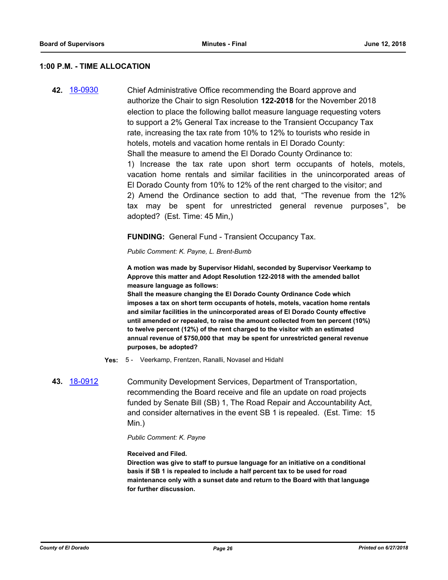#### **1:00 P.M. - TIME ALLOCATION**

**42.** [18-0930](http://eldorado.legistar.com/gateway.aspx?m=l&id=/matter.aspx?key=24278) Chief Administrative Office recommending the Board approve and authorize the Chair to sign Resolution **122-2018** for the November 2018 election to place the following ballot measure language requesting voters to support a 2% General Tax increase to the Transient Occupancy Tax rate, increasing the tax rate from 10% to 12% to tourists who reside in hotels, motels and vacation home rentals in El Dorado County: Shall the measure to amend the El Dorado County Ordinance to: 1) Increase the tax rate upon short term occupants of hotels, motels, vacation home rentals and similar facilities in the unincorporated areas of El Dorado County from 10% to 12% of the rent charged to the visitor; and 2) Amend the Ordinance section to add that, "The revenue from the 12% tax may be spent for unrestricted general revenue purposes", be adopted? (Est. Time: 45 Min,)

#### **FUNDING:** General Fund - Transient Occupancy Tax.

*Public Comment: K. Payne, L. Brent-Bumb*

**A motion was made by Supervisor Hidahl, seconded by Supervisor Veerkamp to Approve this matter and Adopt Resolution 122-2018 with the amended ballot measure language as follows:**

**Shall the measure changing the El Dorado County Ordinance Code which imposes a tax on short term occupants of hotels, motels, vacation home rentals and similar facilities in the unincorporated areas of El Dorado County effective until amended or repealed, to raise the amount collected from ten percent (10%) to twelve percent (12%) of the rent charged to the visitor with an estimated annual revenue of \$750,000 that may be spent for unrestricted general revenue purposes, be adopted?**

**Yes:** 5 - Veerkamp, Frentzen, Ranalli, Novasel and Hidahl

# **43.** [18-0912](http://eldorado.legistar.com/gateway.aspx?m=l&id=/matter.aspx?key=24260) Community Development Services, Department of Transportation, recommending the Board receive and file an update on road projects funded by Senate Bill (SB) 1, The Road Repair and Accountability Act, and consider alternatives in the event SB 1 is repealed. (Est. Time: 15 Min.)

#### *Public Comment: K. Payne*

#### **Received and Filed.**

**Direction was give to staff to pursue language for an initiative on a conditional basis if SB 1 is repealed to include a half percent tax to be used for road maintenance only with a sunset date and return to the Board with that language for further discussion.**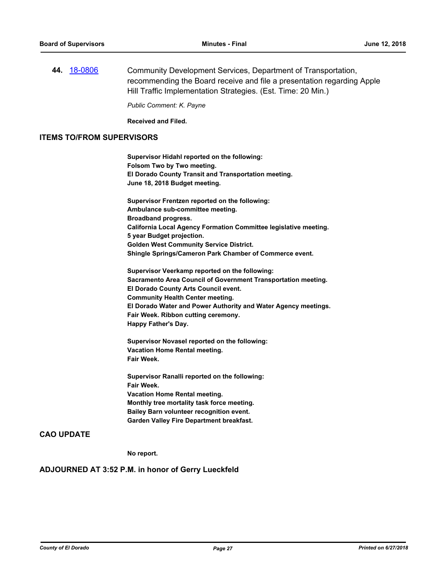**44.** [18-0806](http://eldorado.legistar.com/gateway.aspx?m=l&id=/matter.aspx?key=24153) Community Development Services, Department of Transportation, recommending the Board receive and file a presentation regarding Apple Hill Traffic Implementation Strategies. (Est. Time: 20 Min.)

*Public Comment: K. Payne*

**Received and Filed.**

#### **ITEMS TO/FROM SUPERVISORS**

**Supervisor Hidahl reported on the following: Folsom Two by Two meeting. El Dorado County Transit and Transportation meeting. June 18, 2018 Budget meeting.**

**Supervisor Frentzen reported on the following: Ambulance sub-committee meeting. Broadband progress. California Local Agency Formation Committee legislative meeting. 5 year Budget projection. Golden West Community Service District. Shingle Springs/Cameron Park Chamber of Commerce event.**

**Supervisor Veerkamp reported on the following: Sacramento Area Council of Government Transportation meeting. El Dorado County Arts Council event. Community Health Center meeting. El Dorado Water and Power Authority and Water Agency meetings. Fair Week. Ribbon cutting ceremony. Happy Father's Day.**

**Supervisor Novasel reported on the following: Vacation Home Rental meeting. Fair Week.**

**Supervisor Ranalli reported on the following: Fair Week. Vacation Home Rental meeting. Monthly tree mortality task force meeting. Bailey Barn volunteer recognition event. Garden Valley Fire Department breakfast.**

### **CAO UPDATE**

**No report.**

### **ADJOURNED AT 3:52 P.M. in honor of Gerry Lueckfeld**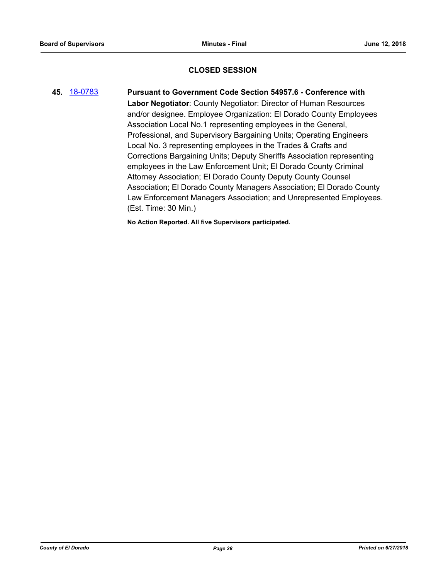# **CLOSED SESSION**

**45.** [18-0783](http://eldorado.legistar.com/gateway.aspx?m=l&id=/matter.aspx?key=24130) **Pursuant to Government Code Section 54957.6 - Conference with Labor Negotiator**: County Negotiator: Director of Human Resources and/or designee. Employee Organization: El Dorado County Employees Association Local No.1 representing employees in the General, Professional, and Supervisory Bargaining Units; Operating Engineers Local No. 3 representing employees in the Trades & Crafts and Corrections Bargaining Units; Deputy Sheriffs Association representing employees in the Law Enforcement Unit; El Dorado County Criminal Attorney Association; El Dorado County Deputy County Counsel Association; El Dorado County Managers Association; El Dorado County Law Enforcement Managers Association; and Unrepresented Employees. (Est. Time: 30 Min.)

**No Action Reported. All five Supervisors participated.**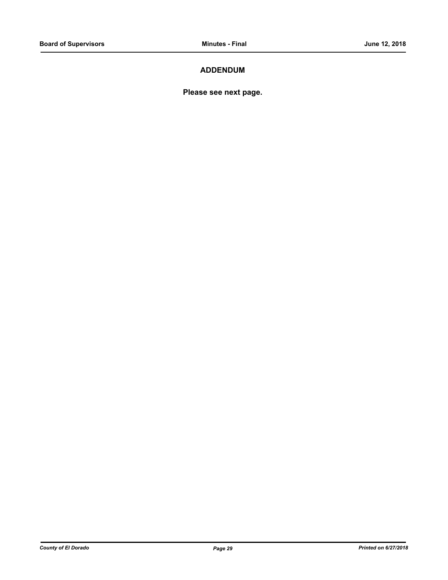# **ADDENDUM**

**Please see next page.**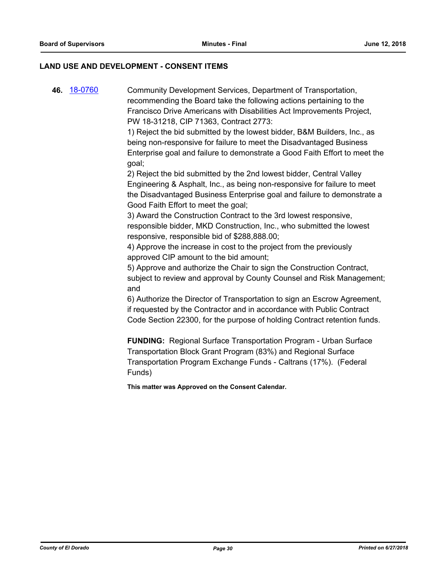### **LAND USE AND DEVELOPMENT - CONSENT ITEMS**

**46.** [18-0760](http://eldorado.legistar.com/gateway.aspx?m=l&id=/matter.aspx?key=24107) Community Development Services, Department of Transportation, recommending the Board take the following actions pertaining to the Francisco Drive Americans with Disabilities Act Improvements Project, PW 18-31218, CIP 71363, Contract 2773:

> 1) Reject the bid submitted by the lowest bidder, B&M Builders, Inc., as being non-responsive for failure to meet the Disadvantaged Business Enterprise goal and failure to demonstrate a Good Faith Effort to meet the goal;

> 2) Reject the bid submitted by the 2nd lowest bidder, Central Valley Engineering & Asphalt, Inc., as being non-responsive for failure to meet the Disadvantaged Business Enterprise goal and failure to demonstrate a Good Faith Effort to meet the goal;

3) Award the Construction Contract to the 3rd lowest responsive, responsible bidder, MKD Construction, Inc., who submitted the lowest responsive, responsible bid of \$288,888.00;

4) Approve the increase in cost to the project from the previously approved CIP amount to the bid amount;

5) Approve and authorize the Chair to sign the Construction Contract, subject to review and approval by County Counsel and Risk Management; and

6) Authorize the Director of Transportation to sign an Escrow Agreement, if requested by the Contractor and in accordance with Public Contract Code Section 22300, for the purpose of holding Contract retention funds.

**FUNDING:** Regional Surface Transportation Program - Urban Surface Transportation Block Grant Program (83%) and Regional Surface Transportation Program Exchange Funds - Caltrans (17%). (Federal Funds)